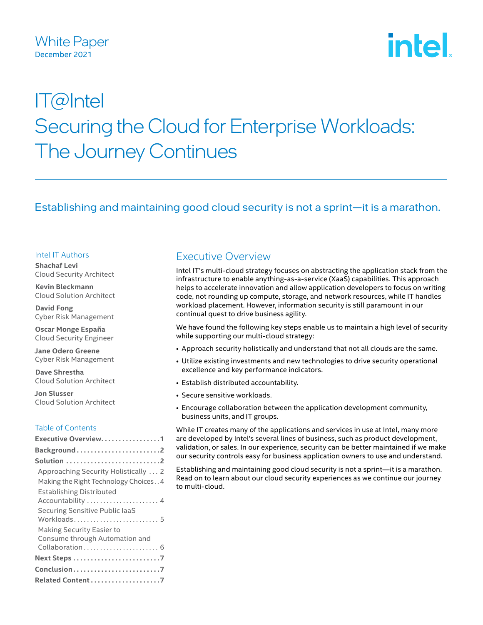intel

# IT@Intel Securing the Cloud for Enterprise Workloads: The Journey Continues

# Establishing and maintaining good cloud security is not a sprint—it is a marathon.

### Intel IT Authors

**Shachaf Levi** Cloud Security Architect

**Kevin Bleckmann** Cloud Solution Architect

**David Fong** Cyber Risk Management

**Oscar Monge España** Cloud Security Engineer

**Jane Odero Greene** Cyber Risk Management

**Dave Shrestha** Cloud Solution Architect

**Jon Slusser** Cloud Solution Architect

## Table of Contents

| Executive Overview1                                                            |
|--------------------------------------------------------------------------------|
| Background2                                                                    |
|                                                                                |
| Approaching Security Holistically  2                                           |
| Making the Right Technology Choices4                                           |
| <b>Establishing Distributed</b><br>Accountability  4                           |
| Securing Sensitive Public laaS                                                 |
| Making Security Easier to<br>Consume through Automation and<br>Collaboration 6 |
|                                                                                |
| Conclusion7                                                                    |
| Related Content 7                                                              |
|                                                                                |

# Executive Overview

Intel IT's multi-cloud strategy focuses on abstracting the application stack from the infrastructure to enable anything-as-a-service (XaaS) capabilities. This approach helps to accelerate innovation and allow application developers to focus on writing code, not rounding up compute, storage, and network resources, while IT handles workload placement. However, information security is still paramount in our continual quest to drive business agility.

We have found the following key steps enable us to maintain a high level of security while supporting our multi-cloud strategy:

- Approach security holistically and understand that not all clouds are the same.
- Utilize existing investments and new technologies to drive security operational excellence and key performance indicators.
- Establish distributed accountability.
- Secure sensitive workloads.
- Encourage collaboration between the application development community, business units, and IT groups.

While IT creates many of the applications and services in use at Intel, many more are developed by Intel's several lines of business, such as product development, validation, or sales. In our experience, security can be better maintained if we make our security controls easy for business application owners to use and understand.

Establishing and maintaining good cloud security is not a sprint—it is a marathon. Read on to learn about our cloud security experiences as we continue our journey to multi-cloud.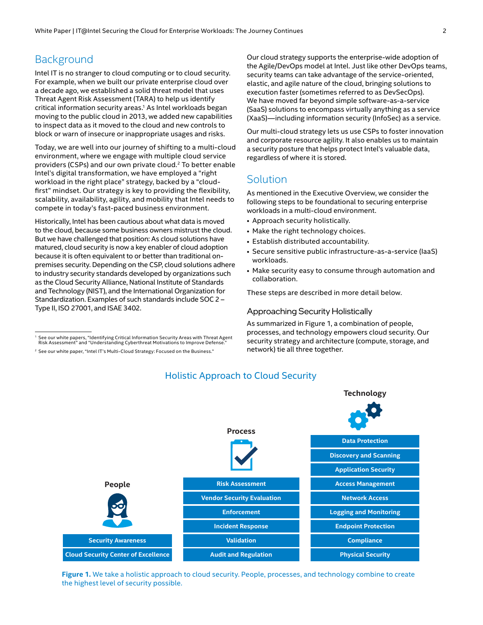# <span id="page-1-0"></span>**Background**

Intel IT is no stranger to cloud computing or to cloud security. For example, when we built our private enterprise cloud over a decade ago, we established a solid threat model that uses Threat Agent Risk Assessment (TARA) to help us identify critical information security areas.<sup>1</sup> As Intel workloads began moving to the public cloud in 2013, we added new capabilities to inspect data as it moved to the cloud and new controls to block or warn of insecure or inappropriate usages and risks.

Today, we are well into our journey of shifting to a multi-cloud environment, where we engage with multiple cloud service providers (CSPs) and our own private cloud.<sup>2</sup> To better enable Intel's digital transformation, we have employed a "right workload in the right place" strategy, backed by a "cloudfirst" mindset. Our strategy is key to providing the flexibility, scalability, availability, agility, and mobility that Intel needs to compete in today's fast-paced business environment.

Historically, Intel has been cautious about what data is moved to the cloud, because some business owners mistrust the cloud. But we have challenged that position: As cloud solutions have matured, cloud security is now a key enabler of cloud adoption because it is often equivalent to or better than traditional onpremises security. Depending on the CSP, cloud solutions adhere to industry security standards developed by organizations such as the Cloud Security Alliance, National Institute of Standards and Technology (NIST), and the International Organization for Standardization. Examples of such standards include SOC 2 – Type II, ISO 27001, and ISAE 3402.

Our cloud strategy supports the enterprise-wide adoption of the Agile/DevOps model at Intel. Just like other DevOps teams, security teams can take advantage of the service-oriented, elastic, and agile nature of the cloud, bringing solutions to execution faster (sometimes referred to as DevSecOps). We have moved far beyond simple software-as-a-service (SaaS) solutions to encompass virtually anything as a service (XaaS)—including information security (InfoSec) as a service.

Our multi-cloud strategy lets us use CSPs to foster innovation and corporate resource agility. It also enables us to maintain a security posture that helps protect Intel's valuable data, regardless of where it is stored.

# Solution

As mentioned in the Executive Overview, we consider the following steps to be foundational to securing enterprise workloads in a multi-cloud environment.

- Approach security holistically.
- Make the right technology choices.
- Establish distributed accountability.
- Secure sensitive public infrastructure-as-a-service (IaaS) workloads.
- Make security easy to consume through automation and collaboration.

These steps are described in more detail below.

#### Approaching Security Holistically

As summarized in Figure 1, a combination of people, processes, and technology empowers cloud security. Our security strategy and architecture (compute, storage, and network) tie all three together.



## Holistic Approach to Cloud Security

**Figure 1.** We take a holistic approach to cloud security. People, processes, and technology combine to create the highest level of security possible.

See our white papers, "Identifying Critical Information Security Areas with Threat Agent Risk Assessment" and "Understanding Cyberthreat Motivations to Improve Defense."

<sup>2</sup> See our white paper, "Intel IT's Multi-Cloud Strategy: Focused on the Business."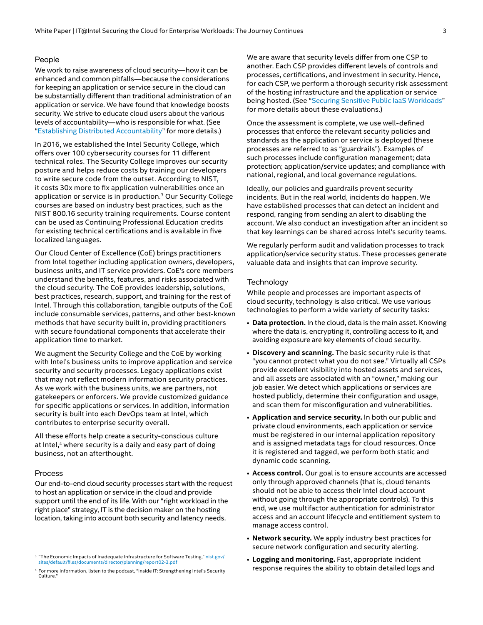#### People

We work to raise awareness of cloud security—how it can be enhanced and common pitfalls—because the considerations for keeping an application or service secure in the cloud can be substantially different than traditional administration of an application or service. We have found that knowledge boosts security. We strive to educate cloud users about the various levels of accountability—who is responsible for what. (See "[Establishing Distributed Accountability"](#page-3-1) for more details.)

In 2016, we established the Intel Security College, which offers over 100 cybersecurity courses for 11 different technical roles. The Security College improves our security posture and helps reduce costs by training our developers to write secure code from the outset. According to NIST, it costs 30x more to fix application vulnerabilities once an application or service is in production.3 Our Security College courses are based on industry best practices, such as the NIST 800.16 security training requirements. Course content can be used as Continuing Professional Education credits for existing technical certifications and is available in five localized languages.

Our Cloud Center of Excellence (CoE) brings practitioners from Intel together including application owners, developers, business units, and IT service providers. CoE's core members understand the benefits, features, and risks associated with the cloud security. The CoE provides leadership, solutions, best practices, research, support, and training for the rest of Intel. Through this collaboration, tangible outputs of the CoE include consumable services, patterns, and other best-known methods that have security built in, providing practitioners with secure foundational components that accelerate their application time to market.

We augment the Security College and the CoE by working with Intel's business units to improve application and service security and security processes. Legacy applications exist that may not reflect modern information security practices. As we work with the business units, we are partners, not gatekeepers or enforcers. We provide customized guidance for specific applications or services. In addition, information security is built into each DevOps team at Intel, which contributes to enterprise security overall.

All these efforts help create a security-conscious culture at Intel,<sup>4</sup> where security is a daily and easy part of doing business, not an afterthought.

#### Process

Our end-to-end cloud security processes start with the request to host an application or service in the cloud and provide support until the end of its life. With our "right workload in the right place" strategy, IT is the decision maker on the hosting location, taking into account both security and latency needs.

We are aware that security levels differ from one CSP to another. Each CSP provides different levels of controls and processes, certifications, and investment in security. Hence, for each CSP, we perform a thorough security risk assessment of the hosting infrastructure and the application or service being hosted. (See ["Securing Sensitive Public IaaS Workloads"](#page-3-2) for more details about these evaluations.)

Once the assessment is complete, we use well-defined processes that enforce the relevant security policies and standards as the application or service is deployed (these processes are referred to as "guardrails"). Examples of such processes include configuration management; data protection; application/service updates; and compliance with national, regional, and local governance regulations.

Ideally, our policies and guardrails prevent security incidents. But in the real world, incidents do happen. We have established processes that can detect an incident and respond, ranging from sending an alert to disabling the account. We also conduct an investigation after an incident so that key learnings can be shared across Intel's security teams.

We regularly perform audit and validation processes to track application/service security status. These processes generate valuable data and insights that can improve security.

#### **Technology**

While people and processes are important aspects of cloud security, technology is also critical. We use various technologies to perform a wide variety of security tasks:

- **Data protection.** In the cloud, data is the main asset. Knowing where the data is, encrypting it, controlling access to it, and avoiding exposure are key elements of cloud security.
- **Discovery and scanning.** The basic security rule is that "you cannot protect what you do not see." Virtually all CSPs provide excellent visibility into hosted assets and services, and all assets are associated with an "owner," making our job easier. We detect which applications or services are hosted publicly, determine their configuration and usage, and scan them for misconfiguration and vulnerabilities.
- **Application and service security.** In both our public and private cloud environments, each application or service must be registered in our internal application repository and is assigned metadata tags for cloud resources. Once it is registered and tagged, we perform both static and dynamic code scanning.
- **Access control.** Our goal is to ensure accounts are accessed only through approved channels (that is, cloud tenants should not be able to access their Intel cloud account without going through the appropriate controls). To this end, we use multifactor authentication for administrator access and an account lifecycle and entitlement system to manage access control.
- **Network security.** We apply industry best practices for secure network configuration and security alerting.
- **Logging and monitoring.** Fast, appropriate incident response requires the ability to obtain detailed logs and

<sup>&</sup>lt;sup>3</sup> "The Economic Impacts of Inadequate Infrastructure for Software Testing," [nist.gov/](https://www.nist.gov/sites/default/files/documents/director/planning/report02-3.pdf) [sites/default/files/documents/director/planning/report02-3.pdf](https://www.nist.gov/sites/default/files/documents/director/planning/report02-3.pdf)

<sup>4</sup> For more information, listen to the podcast, "Inside IT: Strengthening Intel's Security Culture<sup>\*</sup>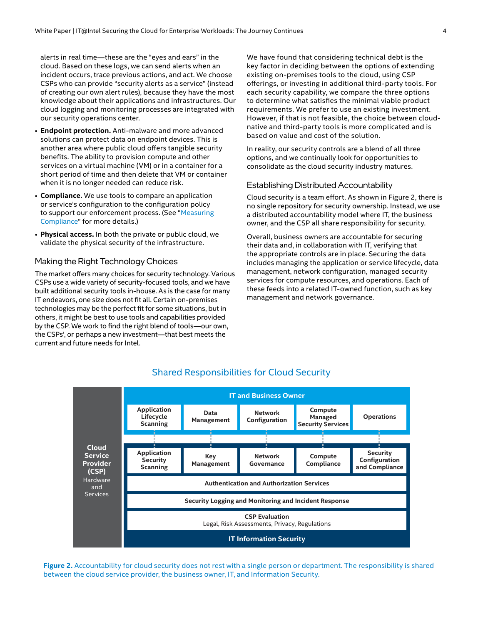<span id="page-3-0"></span>alerts in real time—these are the "eyes and ears" in the cloud. Based on these logs, we can send alerts when an incident occurs, trace previous actions, and act. We choose CSPs who can provide "security alerts as a service" (instead of creating our own alert rules), because they have the most knowledge about their applications and infrastructures. Our cloud logging and monitoring processes are integrated with our security operations center.

- **Endpoint protection.** Anti-malware and more advanced solutions can protect data on endpoint devices. This is another area where public cloud offers tangible security benefits. The ability to provision compute and other services on a virtual machine (VM) or in a container for a short period of time and then delete that VM or container when it is no longer needed can reduce risk.
- **Compliance.** We use tools to compare an application or service's configuration to the configuration policy to support our enforcement process. (See "[Measuring](#page-5-1)  [Compliance"](#page-5-1) for more details.)
- **Physical access.** In both the private or public cloud, we validate the physical security of the infrastructure.

### Making the Right Technology Choices

The market offers many choices for security technology. Various CSPs use a wide variety of security-focused tools, and we have built additional security tools in-house. As is the case for many IT endeavors, one size does not fit all. Certain on-premises technologies may be the perfect fit for some situations, but in others, it might be best to use tools and capabilities provided by the CSP. We work to find the right blend of tools—our own, the CSPs', or perhaps a new investment—that best meets the current and future needs for Intel.

We have found that considering technical debt is the key factor in deciding between the options of extending existing on-premises tools to the cloud, using CSP offerings, or investing in additional third-party tools. For each security capability, we compare the three options to determine what satisfies the minimal viable product requirements. We prefer to use an existing investment. However, if that is not feasible, the choice between cloudnative and third-party tools is more complicated and is based on value and cost of the solution.

In reality, our security controls are a blend of all three options, and we continually look for opportunities to consolidate as the cloud security industry matures.

#### <span id="page-3-1"></span>Establishing Distributed Accountability

Cloud security is a team effort. As shown in Figure 2, there is no single repository for security ownership. Instead, we use a distributed accountability model where IT, the business owner, and the CSP all share responsibility for security.

<span id="page-3-2"></span>Overall, business owners are accountable for securing their data and, in collaboration with IT, verifying that the appropriate controls are in place. Securing the data includes managing the application or service lifecycle, data management, network configuration, managed security services for compute resources, and operations. Each of these feeds into a related IT-owned function, such as key management and network governance.



## Shared Responsibilities for Cloud Security

**Figure 2.** Accountability for cloud security does not rest with a single person or department. The responsibility is shared between the cloud service provider, the business owner, IT, and Information Security.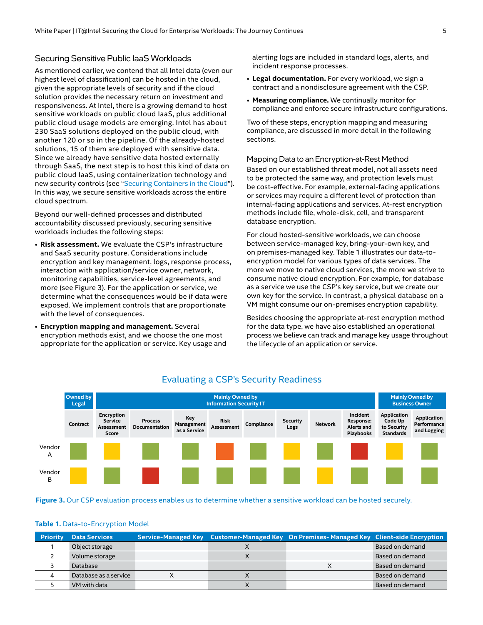## <span id="page-4-0"></span>Securing Sensitive Public IaaS Workloads

As mentioned earlier, we contend that all Intel data (even our highest level of classification) can be hosted in the cloud, given the appropriate levels of security and if the cloud solution provides the necessary return on investment and responsiveness. At Intel, there is a growing demand to host sensitive workloads on public cloud IaaS, plus additional public cloud usage models are emerging. Intel has about 230 SaaS solutions deployed on the public cloud, with another 120 or so in the pipeline. Of the already-hosted solutions, 15 of them are deployed with sensitive data. Since we already have sensitive data hosted externally through SaaS, the next step is to host this kind of data on public cloud IaaS, using containerization technology and new security controls (see ["Securing Containers in the Cloud"](#page-5-2)). In this way, we secure sensitive workloads across the entire cloud spectrum.

Beyond our well-defined processes and distributed accountability discussed previously, securing sensitive workloads includes the following steps:

- **Risk assessment.** We evaluate the CSP's infrastructure and SaaS security posture. Considerations include encryption and key management, logs, response process, interaction with application/service owner, network, monitoring capabilities, service-level agreements, and more (see Figure 3). For the application or service, we determine what the consequences would be if data were exposed. We implement controls that are proportionate with the level of consequences.
- **Encryption mapping and management.** Several encryption methods exist, and we choose the one most appropriate for the application or service. Key usage and

alerting logs are included in standard logs, alerts, and incident response processes.

- **Legal documentation.** For every workload, we sign a contract and a nondisclosure agreement with the CSP.
- **Measuring compliance.** We continually monitor for compliance and enforce secure infrastructure configurations.

Two of these steps, encryption mapping and measuring compliance, are discussed in more detail in the following sections.

Mapping Data to an Encryption-at-Rest Method Based on our established threat model, not all assets need to be protected the same way, and protection levels must be cost-effective. For example, external-facing applications or services may require a different level of protection than internal-facing applications and services. At-rest encryption methods include file, whole-disk, cell, and transparent

database encryption.

For cloud hosted-sensitive workloads, we can choose between service-managed key, bring-your-own key, and on premises-managed key. Table 1 illustrates our data-toencryption model for various types of data services. The more we move to native cloud services, the more we strive to consume native cloud encryption. For example, for database as a service we use the CSP's key service, but we create our own key for the service. In contrast, a physical database on a VM might consume our on-premises encryption capability.

Besides choosing the appropriate at-rest encryption method for the data type, we have also established an operational process we believe can track and manage key usage throughout the lifecycle of an application or service.



## Evaluating a CSP's Security Readiness

**Figure 3.** Our CSP evaluation process enables us to determine whether a sensitive workload can be hosted securely.

#### **Table 1.** Data-to-Encryption Model

| <b>Priority</b> | <b>Data Services</b>  |  | Service-Managed Key Customer-Managed Key On Premises-Managed Key Client-side Encryption |                 |
|-----------------|-----------------------|--|-----------------------------------------------------------------------------------------|-----------------|
|                 | Object storage        |  |                                                                                         | Based on demand |
|                 | Volume storage        |  |                                                                                         | Based on demand |
|                 | Database              |  |                                                                                         | Based on demand |
|                 | Database as a service |  |                                                                                         | Based on demand |
|                 | VM with data          |  |                                                                                         | Based on demand |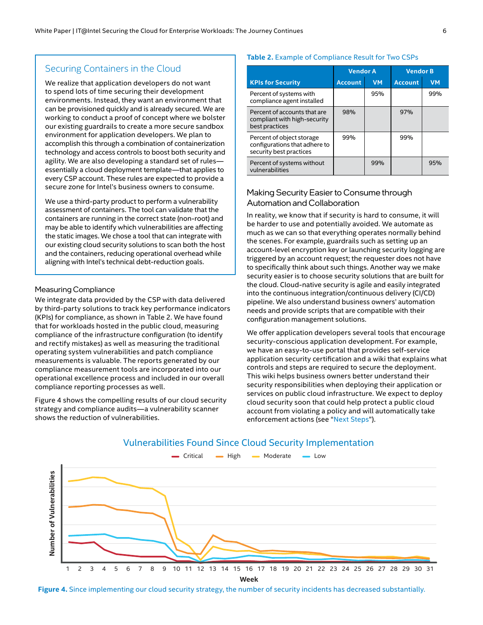## <span id="page-5-2"></span><span id="page-5-0"></span>Securing Containers in the Cloud

We realize that application developers do not want to spend lots of time securing their development environments. Instead, they want an environment that can be provisioned quickly and is already secured. We are working to conduct a proof of concept where we bolster our existing guardrails to create a more secure sandbox environment for application developers. We plan to accomplish this through a combination of containerization technology and access controls to boost both security and agility. We are also developing a standard set of rules essentially a cloud deployment template—that applies to every CSP account. These rules are expected to provide a secure zone for Intel's business owners to consume.

We use a third-party product to perform a vulnerability assessment of containers. The tool can validate that the containers are running in the correct state (non-root) and may be able to identify which vulnerabilities are affecting the static images. We chose a tool that can integrate with our existing cloud security solutions to scan both the host and the containers, reducing operational overhead while aligning with Intel's technical debt-reduction goals.

#### <span id="page-5-1"></span>Measuring Compliance

We integrate data provided by the CSP with data delivered by third-party solutions to track key performance indicators (KPIs) for compliance, as shown in Table 2. We have found that for workloads hosted in the public cloud, measuring compliance of the infrastructure configuration (to identify and rectify mistakes) as well as measuring the traditional operating system vulnerabilities and patch compliance measurements is valuable. The reports generated by our compliance measurement tools are incorporated into our operational excellence process and included in our overall compliance reporting processes as well.

Figure 4 shows the compelling results of our cloud security strategy and compliance audits—a vulnerability scanner shows the reduction of vulnerabilities.

#### **Table 2.** Example of Compliance Result for Two CSPs

|                                                                                       | <b>Vendor A</b> |           | <b>Vendor B</b> |           |
|---------------------------------------------------------------------------------------|-----------------|-----------|-----------------|-----------|
| <b>KPIs for Security</b>                                                              | <b>Account</b>  | <b>VM</b> | <b>Account</b>  | <b>VM</b> |
| Percent of systems with<br>compliance agent installed                                 |                 | 95%       |                 | 99%       |
| Percent of accounts that are<br>compliant with high-security<br>best practices        | 98%             |           | 97%             |           |
| Percent of object storage<br>configurations that adhere to<br>security best practices | 99%             |           | 99%             |           |
| Percent of systems without<br>vulnerabilities                                         |                 | 99%       |                 | 95%       |

## Making Security Easier to Consume through Automation and Collaboration

In reality, we know that if security is hard to consume, it will be harder to use and potentially avoided. We automate as much as we can so that everything operates normally behind the scenes. For example, guardrails such as setting up an account-level encryption key or launching security logging are triggered by an account request; the requester does not have to specifically think about such things. Another way we make security easier is to choose security solutions that are built for the cloud. Cloud-native security is agile and easily integrated into the continuous integration/continuous delivery (CI/CD) pipeline. We also understand business owners' automation needs and provide scripts that are compatible with their configuration management solutions.

We offer application developers several tools that encourage security-conscious application development. For example, we have an easy-to-use portal that provides self-service application security certification and a wiki that explains what controls and steps are required to secure the deployment. This wiki helps business owners better understand their security responsibilities when deploying their application or services on public cloud infrastructure. We expect to deploy cloud security soon that could help protect a public cloud account from violating a policy and will automatically take enforcement actions (see "[Next Steps"](#page-6-1)).



**Figure 4.** Since implementing our cloud security strategy, the number of security incidents has decreased substantially.